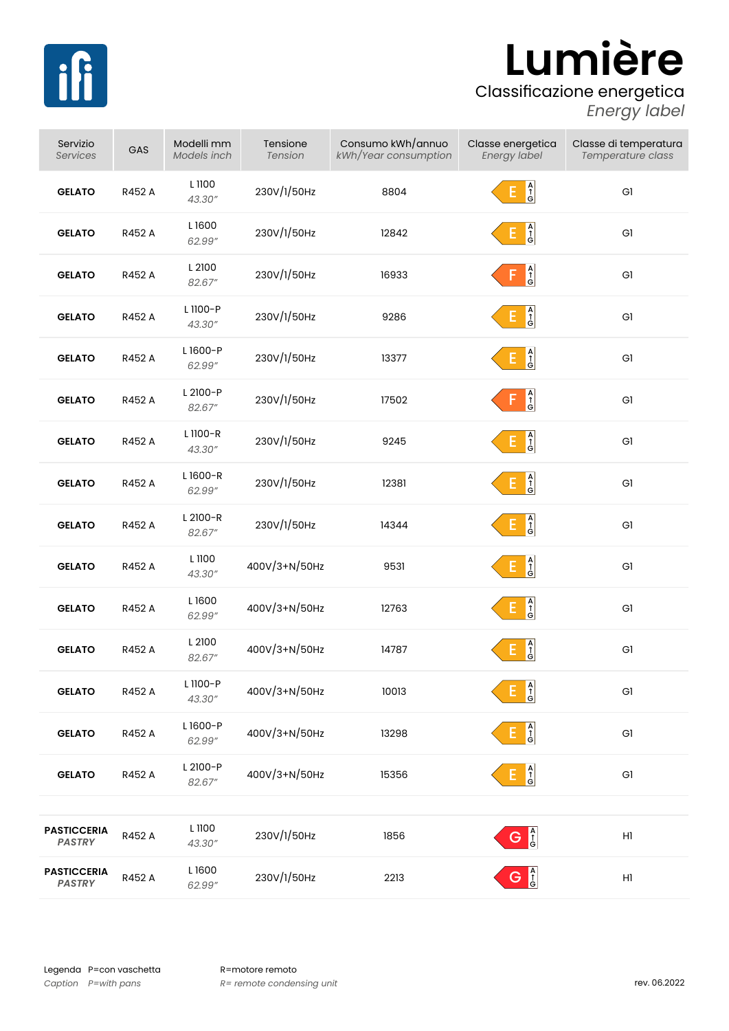

## **Lumière**

## Classificazione energetica

*Energy label*

| Servizio<br><b>Services</b>         | GAS    | Modelli mm<br>Models inch | Tensione<br>Tension | Consumo kWh/annuo<br>kWh/Year consumption | Classe energetica<br>Energy label                                | Classe di temperatura<br>Temperature class |
|-------------------------------------|--------|---------------------------|---------------------|-------------------------------------------|------------------------------------------------------------------|--------------------------------------------|
| <b>GELATO</b>                       | R452 A | L 1100<br>43.30"          | 230V/1/50Hz         | 8804                                      | $\begin{array}{c}\nA \\ \uparrow \\ G\n\end{array}$<br>E.        | G1                                         |
| <b>GELATO</b>                       | R452 A | L1600<br>62.99"           | 230V/1/50Hz         | 12842                                     | $\begin{array}{c}\nA \\ \uparrow \\ G\n\end{array}$              | G1                                         |
| <b>GELATO</b>                       | R452 A | L 2100<br>82.67"          | 230V/1/50Hz         | 16933                                     | A<br>C<br>G                                                      | G1                                         |
| <b>GELATO</b>                       | R452 A | L 1100-P<br>43.30"        | 230V/1/50Hz         | 9286                                      | A<br>G                                                           | G1                                         |
| <b>GELATO</b>                       | R452 A | L1600-P<br>62.99"         | 230V/1/50Hz         | 13377                                     | $\begin{bmatrix} A \\ \uparrow \\ G \end{bmatrix}$<br>E.         | G1                                         |
| <b>GELATO</b>                       | R452 A | L 2100-P<br>82.67"        | 230V/1/50Hz         | 17502                                     | $\begin{array}{c}\nA \\ \uparrow \\ G\n\end{array}$<br>F         | G1                                         |
| <b>GELATO</b>                       | R452 A | L 1100-R<br>43.30"        | 230V/1/50Hz         | 9245                                      | $A \uparrow \hat{f}$<br>E.                                       | G1                                         |
| <b>GELATO</b>                       | R452 A | L1600-R<br>62.99"         | 230V/1/50Hz         | 12381                                     | $\begin{array}{ c } \hline A \\ \hline 1 \\ G \end{array}$<br>Е, | G1                                         |
| <b>GELATO</b>                       | R452 A | L 2100-R<br>82.67"        | 230V/1/50Hz         | 14344                                     | $\begin{array}{c}\nA \\ \uparrow \\ G\n\end{array}$<br>E,        | G1                                         |
| <b>GELATO</b>                       | R452 A | L 1100<br>43.30"          | 400V/3+N/50Hz       | 9531                                      | A<br>G<br>G<br>E.                                                | G1                                         |
| <b>GELATO</b>                       | R452 A | L1600<br>62.99"           | 400V/3+N/50Hz       | 12763                                     | $\begin{array}{ c } \hline A \\ \uparrow \\ G \end{array}$<br>E, | G1                                         |
| <b>GELATO</b>                       | R452 A | L 2100<br>82.67"          | 400V/3+N/50Hz       | 14787                                     | $\frac{A}{G}$                                                    | GI                                         |
| <b>GELATO</b>                       | R452 A | L 1100-P<br>43.30"        | 400V/3+N/50Hz       | 10013                                     | Ė<br>A<br>f<br>G                                                 | Gl                                         |
| <b>GELATO</b>                       | R452 A | L1600-P<br>62.99"         | 400V/3+N/50Hz       | 13298                                     | $E \bigg _G^A$                                                   | Gl                                         |
| <b>GELATO</b>                       | R452 A | L 2100-P<br>82.67"        | 400V/3+N/50Hz       | 15356                                     | $E$ $\frac{A}{G}$                                                | Gl                                         |
|                                     |        |                           |                     |                                           |                                                                  |                                            |
| <b>PASTICCERIA</b><br><b>PASTRY</b> | R452 A | L 1100<br>43.30"          | 230V/1/50Hz         | 1856                                      | G <sup>A</sup>                                                   | $\mathsf{H} \mathsf{I}$                    |
| <b>PASTICCERIA</b><br><b>PASTRY</b> | R452 A | L1600<br>62.99"           | 230V/1/50Hz         | 2213                                      | G <sup>A</sup>                                                   | $\mathsf{H} \mathsf{I}$                    |